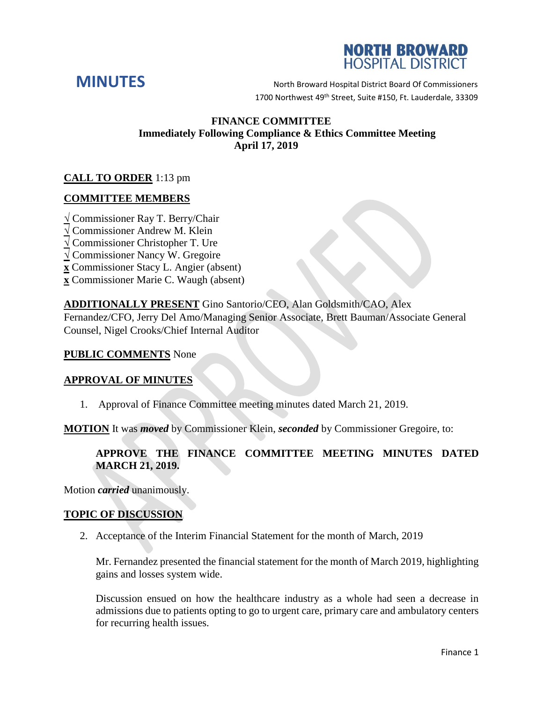



**MINUTES** North Broward Hospital District Board Of Commissioners 1700 Northwest 49<sup>th</sup> Street, Suite #150, Ft. Lauderdale, 33309

## **FINANCE COMMITTEE Immediately Following Compliance & Ethics Committee Meeting April 17, 2019**

# **CALL TO ORDER** 1:13 pm

## **COMMITTEE MEMBERS**

- **√** Commissioner Ray T. Berry/Chair
- **√** Commissioner Andrew M. Klein
- **√** Commissioner Christopher T. Ure
- **√** Commissioner Nancy W. Gregoire
- **x** Commissioner Stacy L. Angier (absent)
- **x** Commissioner Marie C. Waugh (absent)

## **ADDITIONALLY PRESENT** Gino Santorio/CEO, Alan Goldsmith/CAO, Alex

Fernandez/CFO, Jerry Del Amo/Managing Senior Associate, Brett Bauman/Associate General Counsel, Nigel Crooks/Chief Internal Auditor

#### **PUBLIC COMMENTS** None

## **APPROVAL OF MINUTES**

1. Approval of Finance Committee meeting minutes dated March 21, 2019.

**MOTION** It was *moved* by Commissioner Klein, *seconded* by Commissioner Gregoire, to:

# **APPROVE THE FINANCE COMMITTEE MEETING MINUTES DATED MARCH 21, 2019.**

Motion *carried* unanimously.

## **TOPIC OF DISCUSSION**

2. Acceptance of the Interim Financial Statement for the month of March, 2019

Mr. Fernandez presented the financial statement for the month of March 2019, highlighting gains and losses system wide.

Discussion ensued on how the healthcare industry as a whole had seen a decrease in admissions due to patients opting to go to urgent care, primary care and ambulatory centers for recurring health issues.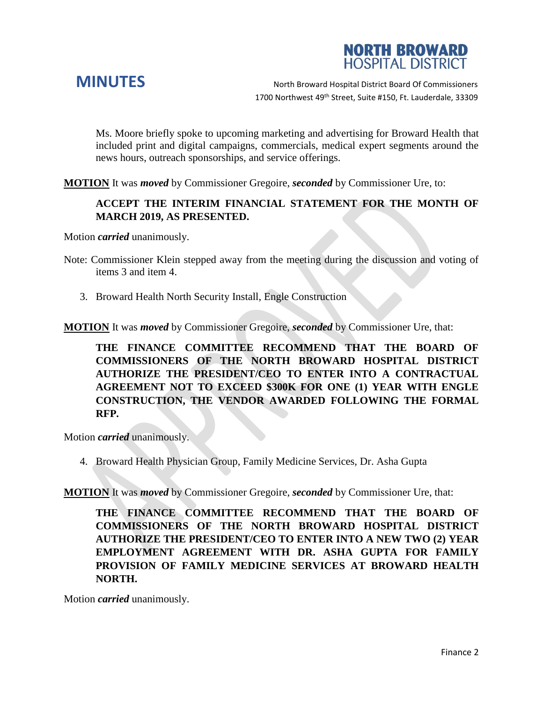



**MINUTES** North Broward Hospital District Board Of Commissioners 1700 Northwest 49<sup>th</sup> Street, Suite #150, Ft. Lauderdale, 33309

Ms. Moore briefly spoke to upcoming marketing and advertising for Broward Health that included print and digital campaigns, commercials, medical expert segments around the news hours, outreach sponsorships, and service offerings.

**MOTION** It was *moved* by Commissioner Gregoire, *seconded* by Commissioner Ure, to:

#### **ACCEPT THE INTERIM FINANCIAL STATEMENT FOR THE MONTH OF MARCH 2019, AS PRESENTED.**

Motion *carried* unanimously.

- Note: Commissioner Klein stepped away from the meeting during the discussion and voting of items 3 and item 4.
	- 3. Broward Health North Security Install, Engle Construction

**MOTION** It was *moved* by Commissioner Gregoire, *seconded* by Commissioner Ure, that:

**THE FINANCE COMMITTEE RECOMMEND THAT THE BOARD OF COMMISSIONERS OF THE NORTH BROWARD HOSPITAL DISTRICT AUTHORIZE THE PRESIDENT/CEO TO ENTER INTO A CONTRACTUAL AGREEMENT NOT TO EXCEED \$300K FOR ONE (1) YEAR WITH ENGLE CONSTRUCTION, THE VENDOR AWARDED FOLLOWING THE FORMAL RFP.** 

Motion *carried* unanimously.

4. Broward Health Physician Group, Family Medicine Services, Dr. Asha Gupta

**MOTION** It was *moved* by Commissioner Gregoire, *seconded* by Commissioner Ure, that:

**THE FINANCE COMMITTEE RECOMMEND THAT THE BOARD OF COMMISSIONERS OF THE NORTH BROWARD HOSPITAL DISTRICT AUTHORIZE THE PRESIDENT/CEO TO ENTER INTO A NEW TWO (2) YEAR EMPLOYMENT AGREEMENT WITH DR. ASHA GUPTA FOR FAMILY PROVISION OF FAMILY MEDICINE SERVICES AT BROWARD HEALTH NORTH.** 

Motion *carried* unanimously.